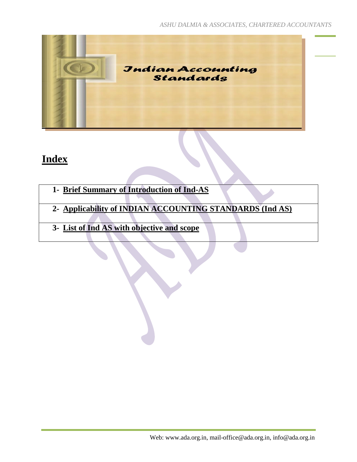

## **Index**

- **1- Brief Summary of Introduction of Ind-AS**
- **2- Applicability of INDIAN ACCOUNTING STANDARDS (Ind AS)**
- **3- List of Ind AS with objective and scope**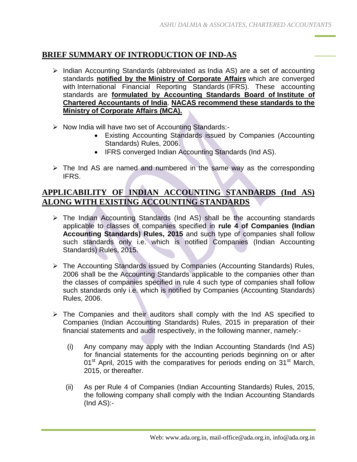## **BRIEF SUMMARY OF INTRODUCTION OF IND-AS**

- $\triangleright$  Indian Accounting Standards (abbreviated as India AS) are a set of accounting standards **notified by the Ministry of Corporate Affairs** which are converged with International Financial Reporting Standards (IFRS). These accounting standards are **formulated by Accounting Standards Board of Institute of Chartered Accountants of India**. **NACAS recommend these standards to the Ministry of Corporate Affairs (MCA).**
- $\triangleright$  Now India will have two set of Accounting Standards:-
	- Existing Accounting Standards issued by Companies (Accounting Standards) Rules, 2006.
	- IFRS converged Indian Accounting Standards (Ind AS).
- $\triangleright$  The Ind AS are named and numbered in the same way as the corresponding IFRS.

## **APPLICABILITY OF INDIAN ACCOUNTING STANDARDS (Ind AS) ALONG WITH EXISTING ACCOUNTING STANDARDS**

- $\triangleright$  The Indian Accounting Standards (Ind AS) shall be the accounting standards applicable to classes of companies specified in **rule 4 of Companies (Indian Accounting Standards) Rules, 2015** and such type of companies shall follow such standards only i.e. which is notified Companies (Indian Accounting Standards) Rules, 2015.
- The Accounting Standards issued by Companies (Accounting Standards) Rules, 2006 shall be the Accounting Standards applicable to the companies other than the classes of companies specified in rule 4 such type of companies shall follow such standards only i.e. which is notified by Companies (Accounting Standards) Rules, 2006.
- $\triangleright$  The Companies and their auditors shall comply with the Ind AS specified to Companies (Indian Accounting Standards) Rules, 2015 in preparation of their financial statements and audit respectively, in the following manner, namely:-
	- (i) Any company may apply with the Indian Accounting Standards (Ind AS) for financial statements for the accounting periods beginning on or after 01<sup>st</sup> April, 2015 with the comparatives for periods ending on 31<sup>st</sup> March, 2015, or thereafter.
	- (ii) As per Rule 4 of Companies (Indian Accounting Standards) Rules, 2015, the following company shall comply with the Indian Accounting Standards (Ind AS):-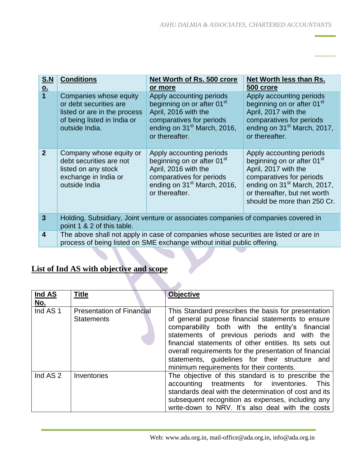| <b>S.N</b><br>$Q_{\perp}$ | <b>Conditions</b>                                                                                                                                                | Net Worth of Rs. 500 crore<br>or more                                                                                                                                               | Net Worth less than Rs.<br>500 crore                                                                                                                                                                                             |
|---------------------------|------------------------------------------------------------------------------------------------------------------------------------------------------------------|-------------------------------------------------------------------------------------------------------------------------------------------------------------------------------------|----------------------------------------------------------------------------------------------------------------------------------------------------------------------------------------------------------------------------------|
| $\overline{1}$            | Companies whose equity<br>or debt securities are<br>listed or are in the process<br>of being listed in India or<br>outside India.                                | Apply accounting periods<br>beginning on or after 01 <sup>st</sup><br>April, 2016 with the<br>comparatives for periods<br>ending on 31 <sup>st</sup> March, 2016,<br>or thereafter. | Apply accounting periods<br>beginning on or after 01 <sup>st</sup><br>April, 2017 with the<br>comparatives for periods<br>ending on 31 <sup>st</sup> March, 2017,<br>or thereafter.                                              |
| 2 <sup>2</sup>            | Company whose equity or<br>debt securities are not<br>listed on any stock<br>exchange in India or<br>outside India                                               | Apply accounting periods<br>beginning on or after 01 <sup>st</sup><br>April, 2016 with the<br>comparatives for periods<br>ending on 31 <sup>st</sup> March, 2016,<br>or thereafter. | Apply accounting periods<br>beginning on or after 01 <sup>st</sup><br>April, 2017 with the<br>comparatives for periods<br>ending on 31 <sup>st</sup> March, 2017,<br>or thereafter, but net worth<br>should be more than 250 Cr. |
| $\overline{3}$            | Holding, Subsidiary, Joint venture or associates companies of companies covered in<br>point 1 & 2 of this table.                                                 |                                                                                                                                                                                     |                                                                                                                                                                                                                                  |
| $\overline{\mathbf{4}}$   | The above shall not apply in case of companies whose securities are listed or are in<br>process of being listed on SME exchange without initial public offering. |                                                                                                                                                                                     |                                                                                                                                                                                                                                  |

## **List of Ind AS with objective and scope**

| Ind AS              | <b>Title</b>                                          | <b>Objective</b>                                                                                                                                                                                                                                                                                                                                                                                                          |
|---------------------|-------------------------------------------------------|---------------------------------------------------------------------------------------------------------------------------------------------------------------------------------------------------------------------------------------------------------------------------------------------------------------------------------------------------------------------------------------------------------------------------|
| <u>No.</u>          |                                                       |                                                                                                                                                                                                                                                                                                                                                                                                                           |
| Ind AS <sub>1</sub> | <b>Presentation of Financial</b><br><b>Statements</b> | This Standard prescribes the basis for presentation<br>of general purpose financial statements to ensure<br>comparability both with the entity's financial<br>statements of previous periods and with the<br>financial statements of other entities. Its sets out<br>overall requirements for the presentation of financial<br>statements, guidelines for their structure and<br>minimum requirements for their contents. |
| Ind AS 2            | Inventories                                           | The objective of this standard is to prescribe the<br>accounting treatments for inventories.<br><b>This</b><br>standards deal with the determination of cost and its<br>subsequent recognition as expenses, including any<br>write-down to NRV. It's also deal with the costs                                                                                                                                             |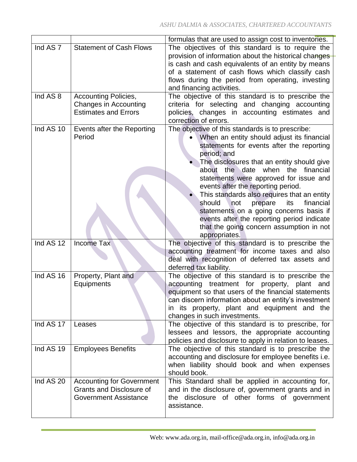|                     |                                  | formulas that are used to assign cost to inventories.   |
|---------------------|----------------------------------|---------------------------------------------------------|
| Ind AS <sub>7</sub> | <b>Statement of Cash Flows</b>   | The objectives of this standard is to require the       |
|                     |                                  | provision of information about the historical changes   |
|                     |                                  | is cash and cash equivalents of an entity by means      |
|                     |                                  | of a statement of cash flows which classify cash        |
|                     |                                  | flows during the period from operating, investing       |
|                     |                                  | and financing activities.                               |
| Ind AS 8            | <b>Accounting Policies,</b>      | The objective of this standard is to prescribe the      |
|                     | Changes in Accounting            | criteria for selecting and changing accounting          |
|                     | <b>Estimates and Errors</b>      | policies, changes in accounting estimates and           |
|                     |                                  | correction of errors.                                   |
| Ind AS 10           | Events after the Reporting       | The objective of this standards is to prescribe:        |
|                     | Period                           | When an entity should adjust its financial              |
|                     |                                  | statements for events after the reporting               |
|                     |                                  | period; and                                             |
|                     |                                  | The disclosures that an entity should give              |
|                     |                                  | about the date when the<br>financial                    |
|                     |                                  |                                                         |
|                     |                                  | statements were approved for issue and                  |
|                     |                                  | events after the reporting period.                      |
|                     |                                  | This standards also requires that an entity             |
|                     |                                  | financial<br>should<br>not<br>prepare<br>its            |
|                     |                                  | statements on a going concerns basis if                 |
|                     |                                  | events after the reporting period indicate              |
|                     |                                  | that the going concern assumption in not                |
|                     |                                  | appropriates.                                           |
| Ind AS 12           | <b>Income Tax</b>                | The objective of this standard is to prescribe the      |
|                     |                                  | accounting treatment for income taxes and also          |
|                     |                                  | deal with recognition of deferred tax assets and        |
|                     |                                  | deferred tax liability.                                 |
| Ind AS 16           | Property, Plant and              | The objective of this standard is to prescribe the      |
|                     | Equipments                       | accounting treatment for property, plant<br>and         |
|                     |                                  | equipment so that users of the financial statements     |
|                     |                                  | can discern information about an entity's investment    |
|                     |                                  | in its property, plant and equipment and the            |
|                     |                                  | changes in such investments.                            |
| Ind AS 17           | Leases                           | The objective of this standard is to prescribe, for     |
|                     |                                  | lessees and lessors, the appropriate accounting         |
|                     |                                  | policies and disclosure to apply in relation to leases. |
| Ind AS 19           | <b>Employees Benefits</b>        | The objective of this standard is to prescribe the      |
|                     |                                  | accounting and disclosure for employee benefits i.e.    |
|                     |                                  | when liability should book and when expenses            |
|                     |                                  | should book.                                            |
| Ind AS 20           | <b>Accounting for Government</b> | This Standard shall be applied in accounting for,       |
|                     | <b>Grants and Disclosure of</b>  | and in the disclosure of, government grants and in      |
|                     | <b>Government Assistance</b>     | the disclosure of other forms of government             |
|                     |                                  | assistance.                                             |
|                     |                                  |                                                         |
|                     |                                  |                                                         |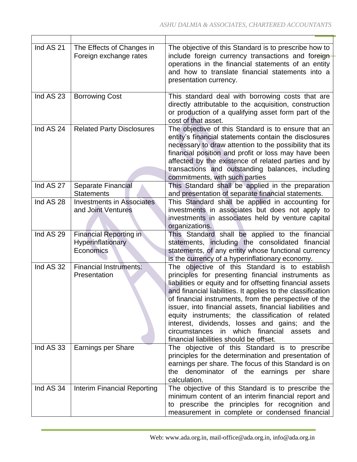| Ind AS 21 | The Effects of Changes in<br>Foreign exchange rates             | The objective of this Standard is to prescribe how to<br>include foreign currency transactions and foreign<br>operations in the financial statements of an entity<br>and how to translate financial statements into a<br>presentation currency.                                                                                                                                                                                                                                                                                                           |
|-----------|-----------------------------------------------------------------|-----------------------------------------------------------------------------------------------------------------------------------------------------------------------------------------------------------------------------------------------------------------------------------------------------------------------------------------------------------------------------------------------------------------------------------------------------------------------------------------------------------------------------------------------------------|
| Ind AS 23 | <b>Borrowing Cost</b>                                           | This standard deal with borrowing costs that are<br>directly attributable to the acquisition, construction<br>or production of a qualifying asset form part of the<br>cost of that asset.                                                                                                                                                                                                                                                                                                                                                                 |
| Ind AS 24 | <b>Related Party Disclosures</b>                                | The objective of this Standard is to ensure that an<br>entity's financial statements contain the disclosures<br>necessary to draw attention to the possibility that its<br>financial position and profit or loss may have been<br>affected by the existence of related parties and by<br>transactions and outstanding balances, including<br>commitments, with such parties                                                                                                                                                                               |
| Ind AS 27 | Separate Financial<br><b>Statements</b>                         | This Standard shall be applied in the preparation<br>and presentation of separate financial statements.                                                                                                                                                                                                                                                                                                                                                                                                                                                   |
| Ind AS 28 | <b>Investments in Associates</b><br>and Joint Ventures          | This Standard shall be applied in accounting for<br>investments in associates but does not apply to<br>investments in associates held by venture capital<br>organizations.                                                                                                                                                                                                                                                                                                                                                                                |
| Ind AS 29 | <b>Financial Reporting in</b><br>Hyperinflationary<br>Economics | This Standard shall be applied to the financial<br>statements, including the consolidated financial<br>statements, of any entity whose functional currency<br>is the currency of a hyperinflationary economy.                                                                                                                                                                                                                                                                                                                                             |
| Ind AS 32 | <b>Financial Instruments:</b><br>Presentation                   | The objective of this Standard is to establish<br>principles for presenting financial instruments as<br>liabilities or equity and for offsetting financial assets<br>and financial liabilities. It applies to the classification<br>of financial instruments, from the perspective of the<br>issuer, into financial assets, financial liabilities and<br>equity instruments; the classification of related<br>interest, dividends, losses and gains; and the<br>circumstances in which financial assets<br>and<br>financial liabilities should be offset. |
| Ind AS 33 | Earnings per Share                                              | The objective of this Standard is to prescribe<br>principles for the determination and presentation of<br>earnings per share. The focus of this Standard is on<br>the denominator of the earnings per share<br>calculation.                                                                                                                                                                                                                                                                                                                               |
| Ind AS 34 | Interim Financial Reporting                                     | The objective of this Standard is to prescribe the<br>minimum content of an interim financial report and<br>to prescribe the principles for recognition and<br>measurement in complete or condensed financial                                                                                                                                                                                                                                                                                                                                             |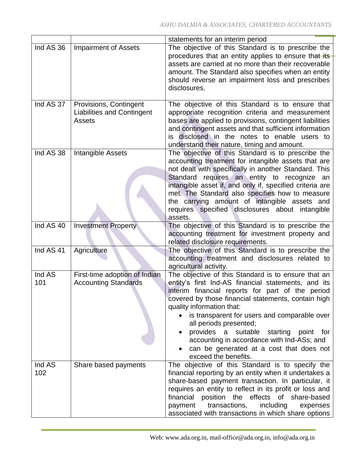|           |                                   | statements for an interim period                         |
|-----------|-----------------------------------|----------------------------------------------------------|
| Ind AS 36 | <b>Impairment of Assets</b>       | The objective of this Standard is to prescribe the       |
|           |                                   | procedures that an entity applies to ensure that its     |
|           |                                   | assets are carried at no more than their recoverable     |
|           |                                   | amount. The Standard also specifies when an entity       |
|           |                                   | should reverse an impairment loss and prescribes         |
|           |                                   | disclosures.                                             |
|           |                                   |                                                          |
| Ind AS 37 | Provisions, Contingent            | The objective of this Standard is to ensure that         |
|           | <b>Liabilities and Contingent</b> | appropriate recognition criteria and measurement         |
|           | <b>Assets</b>                     | bases are applied to provisions, contingent liabilities  |
|           |                                   | and contingent assets and that sufficient information    |
|           |                                   | is disclosed in the notes to enable users to             |
|           |                                   | understand their nature, timing and amount.              |
| Ind AS 38 | <b>Intangible Assets</b>          | The objective of this Standard is to prescribe the       |
|           |                                   | accounting treatment for intangible assets that are      |
|           |                                   | not dealt with specifically in another Standard. This    |
|           |                                   | Standard requires an entity to recognize an              |
|           |                                   | intangible asset if, and only if, specified criteria are |
|           |                                   | met. The Standard also specifies how to measure          |
|           |                                   | the carrying amount of intangible assets and             |
|           |                                   | requires specified disclosures about intangible          |
|           |                                   | assets.                                                  |
| Ind AS 40 | <b>Investment Property</b>        | The objective of this Standard is to prescribe the       |
|           |                                   | accounting treatment for investment property and         |
|           |                                   | related disclosure requirements.                         |
| Ind AS 41 | Agriculture                       | The objective of this Standard is to prescribe the       |
|           |                                   | accounting treatment and disclosures related to          |
|           |                                   | agricultural activity.                                   |
| Ind AS    | First-time adoption of Indian     | The objective of this Standard is to ensure that an      |
| 101       | <b>Accounting Standards</b>       | entity's first Ind-AS financial statements, and its      |
|           |                                   | interim financial reports for part of the period         |
|           |                                   | covered by those financial statements, contain high      |
|           |                                   | quality information that:                                |
|           |                                   | is transparent for users and comparable over             |
|           |                                   | all periods presented;                                   |
|           |                                   | provides a<br>suitable starting point<br>for             |
|           |                                   | accounting in accordance with Ind-ASs; and               |
|           |                                   | can be generated at a cost that does not                 |
|           |                                   | exceed the benefits.                                     |
| Ind AS    | Share based payments              | The objective of this Standard is to specify the         |
| 102       |                                   | financial reporting by an entity when it undertakes a    |
|           |                                   | share-based payment transaction. In particular, it       |
|           |                                   | requires an entity to reflect in its profit or loss and  |
|           |                                   | financial position the effects of share-based            |
|           |                                   | transactions,<br>including<br>payment<br>expenses        |
|           |                                   | associated with transactions in which share options      |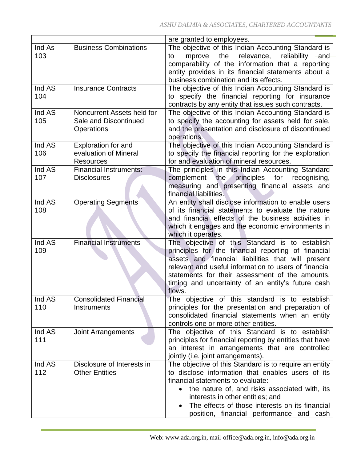|        |                               | are granted to employees.                                    |
|--------|-------------------------------|--------------------------------------------------------------|
| Ind As | <b>Business Combinations</b>  | The objective of this Indian Accounting Standard is          |
| 103    |                               | the<br>relevance, reliability and<br>improve<br>to           |
|        |                               | comparability of the information that a reporting            |
|        |                               | entity provides in its financial statements about a          |
|        |                               | business combination and its effects.                        |
|        |                               |                                                              |
| Ind AS | <b>Insurance Contracts</b>    | The objective of this Indian Accounting Standard is          |
| 104    |                               | to specify the financial reporting for insurance             |
|        |                               | contracts by any entity that issues such contracts.          |
| Ind AS | Noncurrent Assets held for    | The objective of this Indian Accounting Standard is          |
| 105    | Sale and Discontinued         | to specify the accounting for assets held for sale,          |
|        | Operations                    | and the presentation and disclosure of discontinued          |
|        |                               | operations.                                                  |
|        |                               |                                                              |
| Ind AS | Exploration for and           | The objective of this Indian Accounting Standard is          |
| 106    | evaluation of Mineral         | to specify the financial reporting for the exploration       |
|        | <b>Resources</b>              | for and evaluation of mineral resources.                     |
| Ind AS | <b>Financial Instruments:</b> | The principles in this Indian Accounting Standard            |
| 107    | <b>Disclosures</b>            | complement the<br>principles<br>for<br>recognising,          |
|        |                               | measuring and presenting financial assets and                |
|        |                               | financial liabilities.                                       |
|        |                               |                                                              |
| Ind AS | <b>Operating Segments</b>     | An entity shall disclose information to enable users         |
| 108    |                               | of its financial statements to evaluate the nature           |
|        |                               | and financial effects of the business activities in          |
|        |                               | which it engages and the economic environments in            |
|        |                               | which it operates.                                           |
| Ind AS | <b>Financial Instruments</b>  | The objective of this Standard is to establish               |
| 109    |                               | principles for the financial reporting of financial          |
|        |                               |                                                              |
|        |                               | assets and financial liabilities that will present           |
|        |                               | relevant and useful information to users of financial        |
|        |                               | statements for their assessment of the amounts,              |
|        |                               | timing and uncertainty of an entity's future cash            |
|        |                               | flows.                                                       |
| Ind AS | <b>Consolidated Financial</b> | The objective of this standard is to establish               |
| 110    | <b>Instruments</b>            | principles for the presentation and preparation of           |
|        |                               |                                                              |
|        |                               | consolidated financial statements when an entity             |
|        |                               | controls one or more other entities.                         |
| Ind AS | <b>Joint Arrangements</b>     | The objective of this Standard is to establish               |
| 111    |                               | principles for financial reporting by entities that have     |
|        |                               | an interest in arrangements that are controlled              |
|        |                               | jointly (i.e. joint arrangements).                           |
| Ind AS | Disclosure of Interests in    | The objective of this Standard is to require an entity       |
|        |                               |                                                              |
| 112    | <b>Other Entities</b>         | to disclose information that enables users of its            |
|        |                               | financial statements to evaluate:                            |
|        |                               | the nature of, and risks associated with, its                |
|        |                               | interests in other entities; and                             |
|        |                               | The effects of those interests on its financial<br>$\bullet$ |
|        |                               | position, financial performance and cash                     |
|        |                               |                                                              |